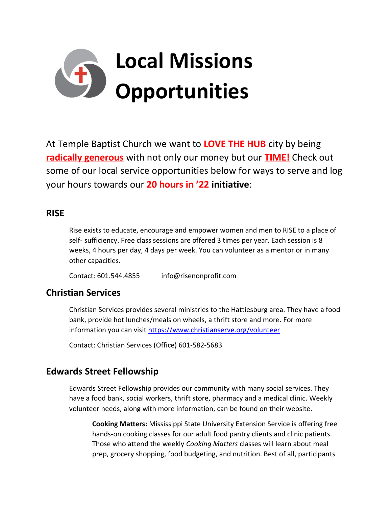

At Temple Baptist Church we want to **LOVE THE HUB** city by being **radically generous** with not only our money but our **TIME!** Check out some of our local service opportunities below for ways to serve and log your hours towards our **20 hours in '22 initiative**:

#### **RISE**

Rise exists to educate, encourage and empower women and men to RISE to a place of self- sufficiency. Free class sessions are offered 3 times per year. Each session is 8 weeks, 4 hours per day, 4 days per week. You can volunteer as a mentor or in many other capacities.

Contact: 601.544.4855 info@risenonprofit.com

## **Christian Services**

Christian Services provides several ministries to the Hattiesburg area. They have a food bank, provide hot lunches/meals on wheels, a thrift store and more. For more information you can visit<https://www.christianserve.org/volunteer>

Contact: Christian Services (Office) 601-582-5683

# **Edwards Street Fellowship**

Edwards Street Fellowship provides our community with many social services. They have a food bank, social workers, thrift store, pharmacy and a medical clinic. Weekly volunteer needs, along with more information, can be found on their website.

**Cooking Matters:** Mississippi State University Extension Service is offering free hands-on cooking classes for our adult food pantry clients and clinic patients. Those who attend the weekly *Cooking Matters* classes will learn about meal prep, grocery shopping, food budgeting, and nutrition. Best of all, participants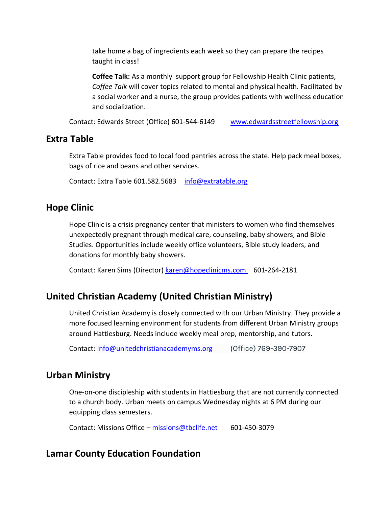take home a bag of ingredients each week so they can prepare the recipes taught in class!

**Coffee Talk:** As a monthly support group for Fellowship Health Clinic patients, *Coffee Talk* will cover topics related to mental and physical health. Facilitated by a social worker and a nurse, the group provides patients with wellness education and socialization.

Contact: Edwards Street (Office) 601-544-6149 [www.edwardsstreetfellowship.org](http://www.edwardsstreetfellowship.org/)

#### **Extra Table**

Extra Table provides food to local food pantries across the state. Help pack meal boxes, bags of rice and beans and other services.

Contact: Extra Table 601.582.5683 [info@extratable.org](http://info@extratable.org/)

#### **Hope Clinic**

Hope Clinic is a crisis pregnancy center that ministers to women who find themselves unexpectedly pregnant through medical care, counseling, baby showers, and Bible Studies. Opportunities include weekly office volunteers, Bible study leaders, and donations for monthly baby showers.

Contact: Karen Sims (Director) [karen@hopeclinicms.com](http://karen@hopeclinicms.com/) 601-264-2181

#### **United Christian Academy (United Christian Ministry)**

United Christian Academy is closely connected with our Urban Ministry. They provide a more focused learning environment for students from different Urban Ministry groups around Hattiesburg. Needs include weekly meal prep, mentorship, and tutors.

Contact: [info@unitedchristianacademyms.org](mailto:info@unitedchristianacademyms.org) (Office) 769-390-7907

#### **Urban Ministry**

One-on-one discipleship with students in Hattiesburg that are not currently connected to a church body. Urban meets on campus Wednesday nights at 6 PM during our equipping class semesters.

Contact: Missions Office – [missions@tbclife.net](mailto:missions@tbclife.net) 601-450-3079

#### **Lamar County Education Foundation**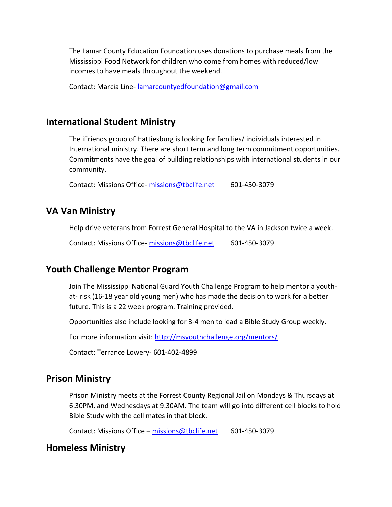The Lamar County Education Foundation uses donations to purchase meals from the Mississippi Food Network for children who come from homes with reduced/low incomes to have meals throughout the weekend.

Contact: Marcia Line- [lamarcountyedfoundation@gmail.com](mailto:lamarcountyedfoundation@gmail.com)

#### **International Student Ministry**

The iFriends group of Hattiesburg is looking for families/ individuals interested in International ministry. There are short term and long term commitment opportunities. Commitments have the goal of building relationships with international students in our community.

Contact: Missions Office- [missions@tbclife.net](mailto:missions@tbclife.net) 601-450-3079

#### **VA Van Ministry**

Help drive veterans from Forrest General Hospital to the VA in Jackson twice a week.

Contact: Missions Office- [missions@tbclife.net](mailto:missions@tbclife.net) 601-450-3079

#### **Youth Challenge Mentor Program**

Join The Mississippi National Guard Youth Challenge Program to help mentor a youthat- risk (16-18 year old young men) who has made the decision to work for a better future. This is a 22 week program. Training provided.

Opportunities also include looking for 3-4 men to lead a Bible Study Group weekly.

For more information visit:<http://msyouthchallenge.org/mentors/>

Contact: Terrance Lowery- 601-402-4899

#### **Prison Ministry**

Prison Ministry meets at the Forrest County Regional Jail on Mondays & Thursdays at 6:30PM, and Wednesdays at 9:30AM. The team will go into different cell blocks to hold Bible Study with the cell mates in that block.

Contact: Missions Office – [missions@tbclife.net](mailto:missions@tbclife.net) 601-450-3079

#### **Homeless Ministry**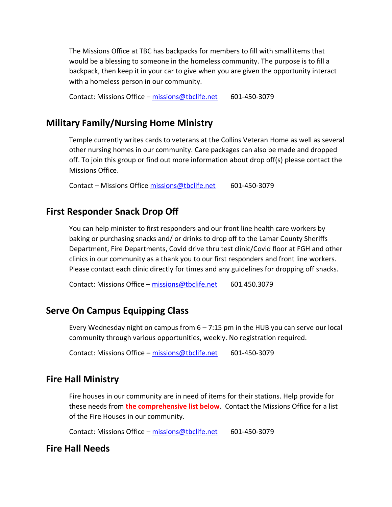The Missions Office at TBC has backpacks for members to fill with small items that would be a blessing to someone in the homeless community. The purpose is to fill a backpack, then keep it in your car to give when you are given the opportunity interact with a homeless person in our community.

Contact: Missions Office – [missions@tbclife.net](mailto:missions@tbclife.net) 601-450-3079

## **Military Family/Nursing Home Ministry**

Temple currently writes cards to veterans at the Collins Veteran Home as well as several other nursing homes in our community. Care packages can also be made and dropped off. To join this group or find out more information about drop off(s) please contact the Missions Office.

Contact – Missions Office [missions@tbclife.net](mailto:missions@tbclife.net) 601-450-3079

## **First Responder Snack Drop Off**

You can help minister to first responders and our front line health care workers by baking or purchasing snacks and/ or drinks to drop off to the Lamar County Sheriffs Department, Fire Departments, Covid drive thru test clinic/Covid floor at FGH and other clinics in our community as a thank you to our first responders and front line workers. Please contact each clinic directly for times and any guidelines for dropping off snacks.

Contact: Missions Office - [missions@tbclife.net](mailto:missions@tbclife.net) 601.450.3079

# **Serve On Campus Equipping Class**

Every Wednesday night on campus from  $6 - 7:15$  pm in the HUB you can serve our local community through various opportunities, weekly. No registration required.

Contact: Missions Office – [missions@tbclife.net](mailto:missions@tbclife.net) 601-450-3079

## **Fire Hall Ministry**

Fire houses in our community are in need of items for their stations. Help provide for these needs from **the comprehensive list below**. Contact the Missions Office for a list of the Fire Houses in our community.

Contact: Missions Office – [missions@tbclife.net](mailto:missions@tbclife.net) 601-450-3079

## **Fire Hall Needs**